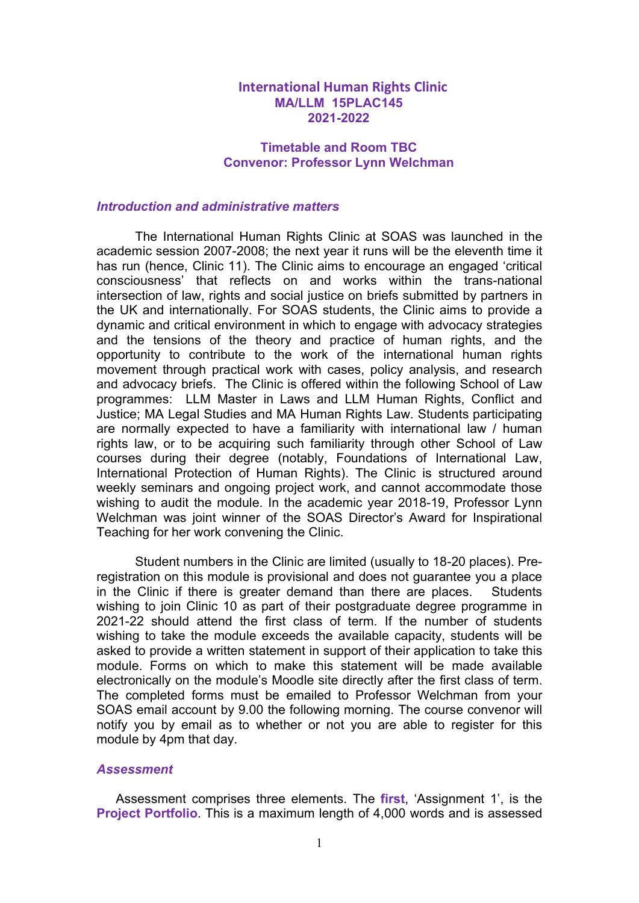# International Human Rights Clinic **MA/LLM 15PLAC145** 2021-2022

### Timetable and Room TBC Convenor: Professor Lynn Welchman

# Introduction and administrative matters

 The International Human Rights Clinic at SOAS was launched in the academic session 2007-2008; the next year it runs will be the eleventh time it has run (hence, Clinic 11). The Clinic aims to encourage an engaged 'critical consciousness' that reflects on and works within the trans-national intersection of law, rights and social justice on briefs submitted by partners in the UK and internationally. For SOAS students, the Clinic aims to provide a dynamic and critical environment in which to engage with advocacy strategies and the tensions of the theory and practice of human rights, and the opportunity to contribute to the work of the international human rights movement through practical work with cases, policy analysis, and research and advocacy briefs. The Clinic is offered within the following School of Law programmes: LLM Master in Laws and LLM Human Rights, Conflict and Justice; MA Legal Studies and MA Human Rights Law. Students participating are normally expected to have a familiarity with international law / human rights law, or to be acquiring such familiarity through other School of Law courses during their degree (notably, Foundations of International Law, International Protection of Human Rights). The Clinic is structured around weekly seminars and ongoing project work, and cannot accommodate those wishing to audit the module. In the academic year 2018-19, Professor Lynn Welchman was joint winner of the SOAS Director's Award for Inspirational Teaching for her work convening the Clinic.

Student numbers in the Clinic are limited (usually to 18-20 places). Preregistration on this module is provisional and does not guarantee you a place in the Clinic if there is greater demand than there are places. Students wishing to join Clinic 10 as part of their postgraduate degree programme in 2021-22 should attend the first class of term. If the number of students wishing to take the module exceeds the available capacity, students will be asked to provide a written statement in support of their application to take this module. Forms on which to make this statement will be made available electronically on the module's Moodle site directly after the first class of term. The completed forms must be emailed to Professor Welchman from your SOAS email account by 9.00 the following morning. The course convenor will notify you by email as to whether or not you are able to register for this module by 4pm that day.

### **Assessment**

Assessment comprises three elements. The first, 'Assignment 1', is the Project Portfolio. This is a maximum length of 4,000 words and is assessed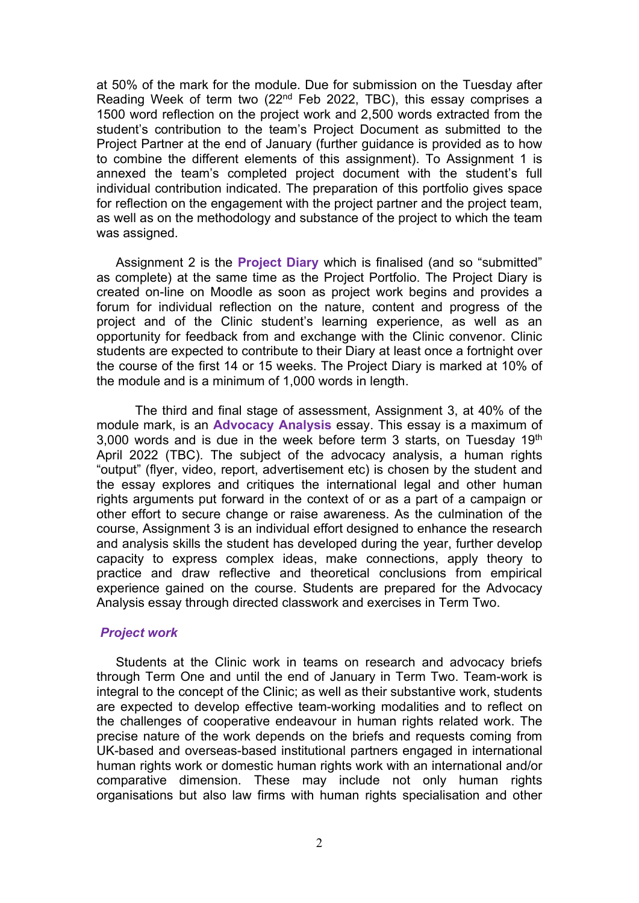at 50% of the mark for the module. Due for submission on the Tuesday after Reading Week of term two (22<sup>nd</sup> Feb 2022, TBC), this essay comprises a 1500 word reflection on the project work and 2,500 words extracted from the student's contribution to the team's Project Document as submitted to the Project Partner at the end of January (further guidance is provided as to how to combine the different elements of this assignment). To Assignment 1 is annexed the team's completed project document with the student's full individual contribution indicated. The preparation of this portfolio gives space for reflection on the engagement with the project partner and the project team, as well as on the methodology and substance of the project to which the team was assigned.

Assignment 2 is the **Project Diary** which is finalised (and so "submitted" as complete) at the same time as the Project Portfolio. The Project Diary is created on-line on Moodle as soon as project work begins and provides a forum for individual reflection on the nature, content and progress of the project and of the Clinic student's learning experience, as well as an opportunity for feedback from and exchange with the Clinic convenor. Clinic students are expected to contribute to their Diary at least once a fortnight over the course of the first 14 or 15 weeks. The Project Diary is marked at 10% of the module and is a minimum of 1,000 words in length.

 The third and final stage of assessment, Assignment 3, at 40% of the module mark, is an **Advocacy Analysis** essay. This essay is a maximum of 3,000 words and is due in the week before term 3 starts, on Tuesday  $19<sup>th</sup>$ April 2022 (TBC). The subject of the advocacy analysis, a human rights "output" (flyer, video, report, advertisement etc) is chosen by the student and the essay explores and critiques the international legal and other human rights arguments put forward in the context of or as a part of a campaign or other effort to secure change or raise awareness. As the culmination of the course, Assignment 3 is an individual effort designed to enhance the research and analysis skills the student has developed during the year, further develop capacity to express complex ideas, make connections, apply theory to practice and draw reflective and theoretical conclusions from empirical experience gained on the course. Students are prepared for the Advocacy Analysis essay through directed classwork and exercises in Term Two.

### Project work

Students at the Clinic work in teams on research and advocacy briefs through Term One and until the end of January in Term Two. Team-work is integral to the concept of the Clinic; as well as their substantive work, students are expected to develop effective team-working modalities and to reflect on the challenges of cooperative endeavour in human rights related work. The precise nature of the work depends on the briefs and requests coming from UK-based and overseas-based institutional partners engaged in international human rights work or domestic human rights work with an international and/or comparative dimension. These may include not only human rights organisations but also law firms with human rights specialisation and other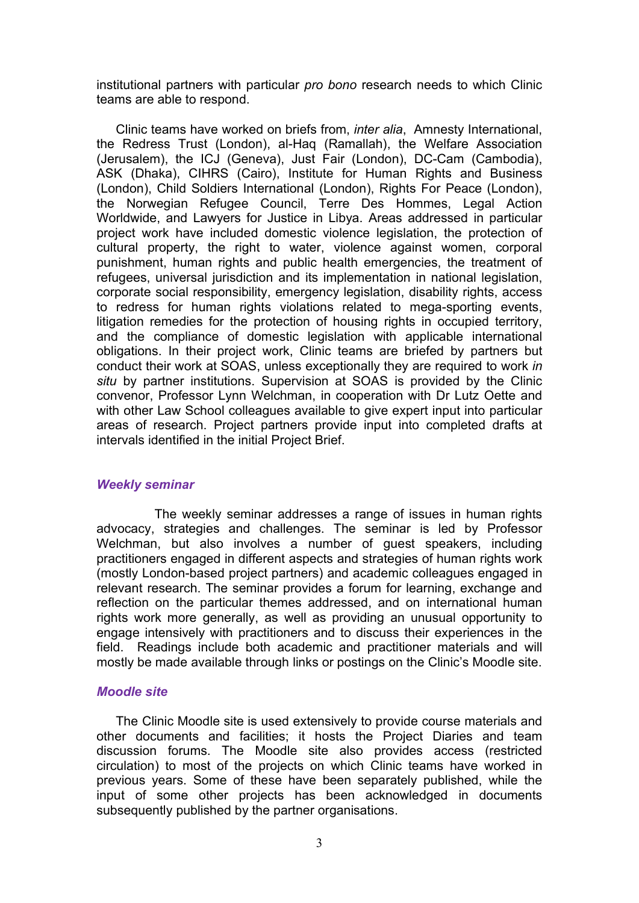institutional partners with particular pro bono research needs to which Clinic teams are able to respond.

Clinic teams have worked on briefs from, inter alia, Amnesty International, the Redress Trust (London), al-Haq (Ramallah), the Welfare Association (Jerusalem), the ICJ (Geneva), Just Fair (London), DC-Cam (Cambodia), ASK (Dhaka), CIHRS (Cairo), Institute for Human Rights and Business (London), Child Soldiers International (London), Rights For Peace (London), the Norwegian Refugee Council, Terre Des Hommes, Legal Action Worldwide, and Lawyers for Justice in Libya. Areas addressed in particular project work have included domestic violence legislation, the protection of cultural property, the right to water, violence against women, corporal punishment, human rights and public health emergencies, the treatment of refugees, universal jurisdiction and its implementation in national legislation, corporate social responsibility, emergency legislation, disability rights, access to redress for human rights violations related to mega-sporting events, litigation remedies for the protection of housing rights in occupied territory, and the compliance of domestic legislation with applicable international obligations. In their project work, Clinic teams are briefed by partners but conduct their work at SOAS, unless exceptionally they are required to work in situ by partner institutions. Supervision at SOAS is provided by the Clinic convenor, Professor Lynn Welchman, in cooperation with Dr Lutz Oette and with other Law School colleagues available to give expert input into particular areas of research. Project partners provide input into completed drafts at intervals identified in the initial Project Brief.

### Weekly seminar

 The weekly seminar addresses a range of issues in human rights advocacy, strategies and challenges. The seminar is led by Professor Welchman, but also involves a number of guest speakers, including practitioners engaged in different aspects and strategies of human rights work (mostly London-based project partners) and academic colleagues engaged in relevant research. The seminar provides a forum for learning, exchange and reflection on the particular themes addressed, and on international human rights work more generally, as well as providing an unusual opportunity to engage intensively with practitioners and to discuss their experiences in the field. Readings include both academic and practitioner materials and will mostly be made available through links or postings on the Clinic's Moodle site.

### Moodle site

The Clinic Moodle site is used extensively to provide course materials and other documents and facilities; it hosts the Project Diaries and team discussion forums. The Moodle site also provides access (restricted circulation) to most of the projects on which Clinic teams have worked in previous years. Some of these have been separately published, while the input of some other projects has been acknowledged in documents subsequently published by the partner organisations.